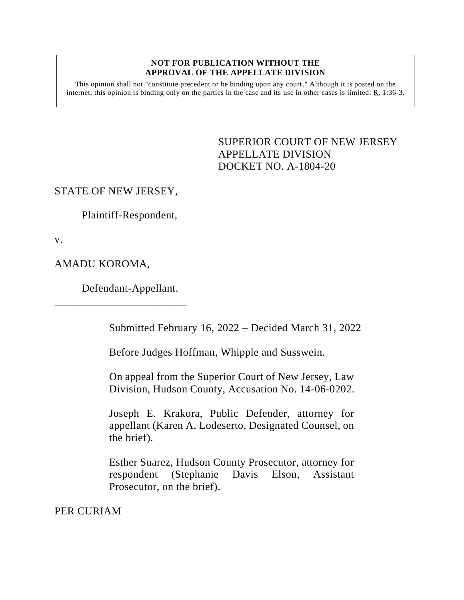## **NOT FOR PUBLICATION WITHOUT THE APPROVAL OF THE APPELLATE DIVISION**

This opinion shall not "constitute precedent or be binding upon any court." Although it is posted on the internet, this opinion is binding only on the parties in the case and its use in other cases is limited. R. 1:36-3.

> <span id="page-0-0"></span>SUPERIOR COURT OF NEW JERSEY APPELLATE DIVISION DOCKET NO. A-1804-20

## STATE OF NEW JERSEY,

Plaintiff-Respondent,

v.

AMADU KOROMA,

Defendant-Appellant.

\_\_\_\_\_\_\_\_\_\_\_\_\_\_\_\_\_\_\_\_\_\_\_\_

Submitted February 16, 2022 – Decided March 31, 2022

Before Judges Hoffman, Whipple and Susswein.

On appeal from the Superior Court of New Jersey, Law Division, Hudson County, Accusation No. 14-06-0202.

Joseph E. Krakora, Public Defender, attorney for appellant (Karen A. Lodeserto, Designated Counsel, on the brief).

Esther Suarez, Hudson County Prosecutor, attorney for respondent (Stephanie Davis Elson, Assistant Prosecutor, on the brief).

PER CURIAM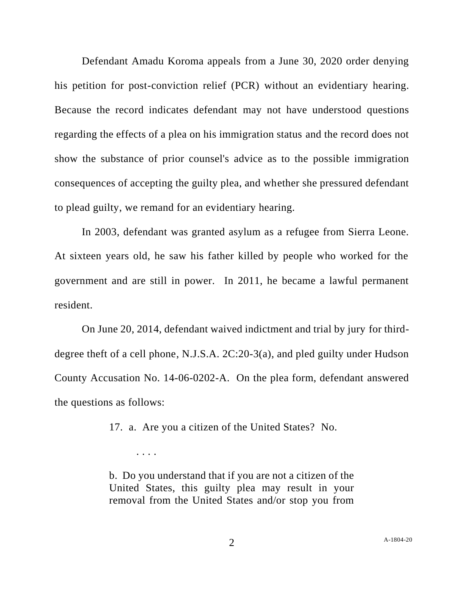Defendant Amadu Koroma appeals from a June 30, 2020 order denying his petition for post-conviction relief (PCR) without an evidentiary hearing. Because the record indicates defendant may not have understood questions regarding the effects of a plea on his immigration status and the record does not show the substance of prior counsel's advice as to the possible immigration consequences of accepting the guilty plea, and whether she pressured defendant to plead guilty, we remand for an evidentiary hearing.

In 2003, defendant was granted asylum as a refugee from Sierra Leone. At sixteen years old, he saw his father killed by people who worked for the government and are still in power. In 2011, he became a lawful permanent resident.

On June 20, 2014, defendant waived indictment and trial by jury for thirddegree theft of a cell phone, N.J.S.A. 2C:20-3(a), and pled guilty under Hudson County Accusation No. 14-06-0202-A. On the plea form, defendant answered the questions as follows:

17. a. Are you a citizen of the United States? No.

. . . .

b. Do you understand that if you are not a citizen of the United States, this guilty plea may result in your removal from the United States and/or stop you from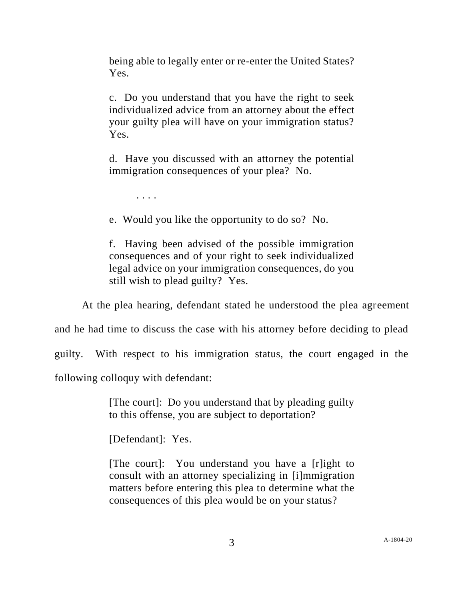being able to legally enter or re-enter the United States? Yes.

c. Do you understand that you have the right to seek individualized advice from an attorney about the effect your guilty plea will have on your immigration status? Yes.

d. Have you discussed with an attorney the potential immigration consequences of your plea? No.

. . . .

e. Would you like the opportunity to do so? No.

f. Having been advised of the possible immigration consequences and of your right to seek individualized legal advice on your immigration consequences, do you still wish to plead guilty? Yes.

At the plea hearing, defendant stated he understood the plea agreement

and he had time to discuss the case with his attorney before deciding to plead

guilty. With respect to his immigration status, the court engaged in the

following colloquy with defendant:

[The court]: Do you understand that by pleading guilty to this offense, you are subject to deportation?

[Defendant]: Yes.

[The court]: You understand you have a [r]ight to consult with an attorney specializing in [i]mmigration matters before entering this plea to determine what the consequences of this plea would be on your status?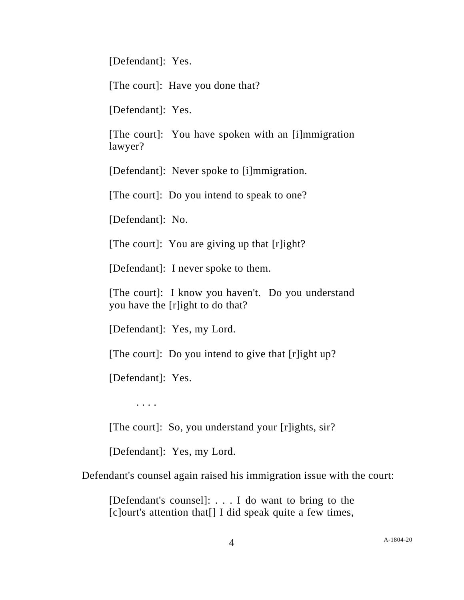[Defendant]: Yes.

[The court]: Have you done that?

[Defendant]: Yes.

[The court]: You have spoken with an [i]mmigration lawyer?

[Defendant]: Never spoke to [i]mmigration.

[The court]: Do you intend to speak to one?

[Defendant]: No.

[The court]: You are giving up that [r]ight?

[Defendant]: I never spoke to them.

[The court]: I know you haven't. Do you understand you have the [r]ight to do that?

[Defendant]: Yes, my Lord.

[The court]: Do you intend to give that [r]ight up?

[Defendant]: Yes.

. . . .

[The court]: So, you understand your [r]ights, sir?

[Defendant]: Yes, my Lord.

Defendant's counsel again raised his immigration issue with the court:

[Defendant's counsel]: . . . I do want to bring to the [c]ourt's attention that[] I did speak quite a few times,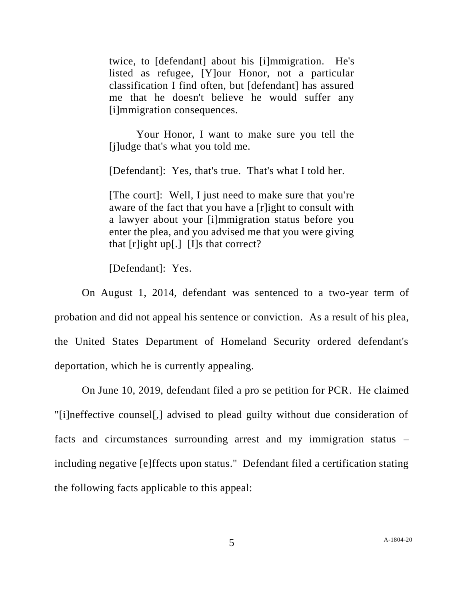twice, to [defendant] about his [i]mmigration. He's listed as refugee, [Y]our Honor, not a particular classification I find often, but [defendant] has assured me that he doesn't believe he would suffer any [i]mmigration consequences.

Your Honor, I want to make sure you tell the [j]udge that's what you told me.

[Defendant]: Yes, that's true. That's what I told her.

[The court]: Well, I just need to make sure that you're aware of the fact that you have a [r]ight to consult with a lawyer about your [i]mmigration status before you enter the plea, and you advised me that you were giving that  $[r]$ ight up[.]  $[I]$ s that correct?

[Defendant]: Yes.

On August 1, 2014, defendant was sentenced to a two-year term of probation and did not appeal his sentence or conviction. As a result of his plea, the United States Department of Homeland Security ordered defendant's deportation, which he is currently appealing.

On June 10, 2019, defendant filed a pro se petition for PCR. He claimed "[i]neffective counsel[,] advised to plead guilty without due consideration of facts and circumstances surrounding arrest and my immigration status – including negative [e]ffects upon status." Defendant filed a certification stating the following facts applicable to this appeal: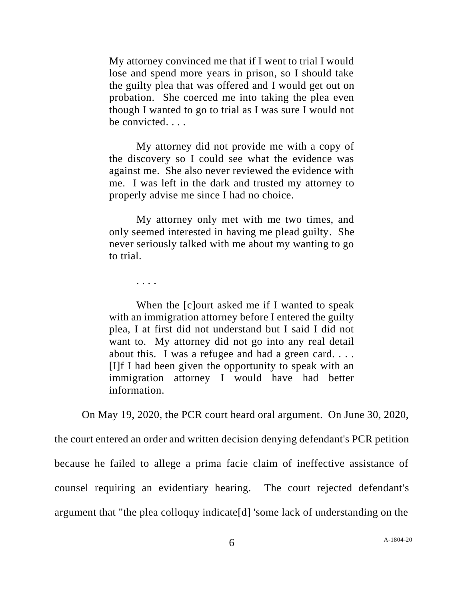My attorney convinced me that if I went to trial I would lose and spend more years in prison, so I should take the guilty plea that was offered and I would get out on probation. She coerced me into taking the plea even though I wanted to go to trial as I was sure I would not be convicted. . . .

My attorney did not provide me with a copy of the discovery so I could see what the evidence was against me. She also never reviewed the evidence with me. I was left in the dark and trusted my attorney to properly advise me since I had no choice.

My attorney only met with me two times, and only seemed interested in having me plead guilty. She never seriously talked with me about my wanting to go to trial.

. . . .

When the [c]ourt asked me if I wanted to speak with an immigration attorney before I entered the guilty plea, I at first did not understand but I said I did not want to. My attorney did not go into any real detail about this. I was a refugee and had a green card. . . . [I]f I had been given the opportunity to speak with an immigration attorney I would have had better information.

On May 19, 2020, the PCR court heard oral argument. On June 30, 2020,

the court entered an order and written decision denying defendant's PCR petition because he failed to allege a prima facie claim of ineffective assistance of counsel requiring an evidentiary hearing. The court rejected defendant's argument that "the plea colloquy indicate[d] 'some lack of understanding on the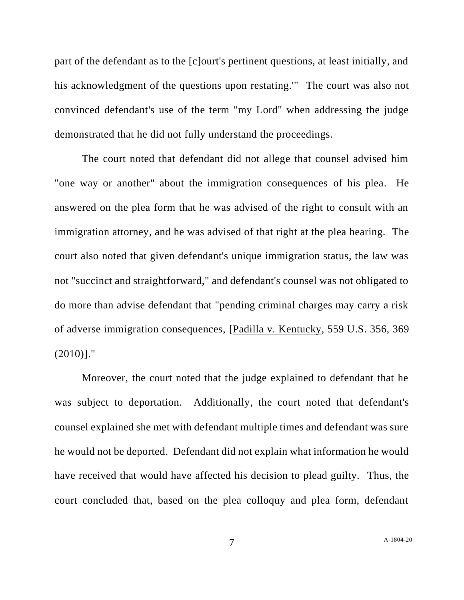part of the defendant as to the [c]ourt's pertinent questions, at least initially, and his acknowledgment of the questions upon restating.'" The court was also not convinced defendant's use of the term "my Lord" when addressing the judge demonstrated that he did not fully understand the proceedings.

The court noted that defendant did not allege that counsel advised him "one way or another" about the immigration consequences of his plea. He answered on the plea form that he was advised of the right to consult with an immigration attorney, and he was advised of that right at the plea hearing. The court also noted that given defendant's unique immigration status, the law was not "succinct and straightforward," and defendant's counsel was not obligated to do more than advise defendant that "pending criminal charges may carry a risk of adverse immigration consequences, [Padilla v. Kentucky, 559 U.S. 356, 369  $(2010)$ ]."

Moreover, the court noted that the judge explained to defendant that he was subject to deportation. Additionally, the court noted that defendant's counsel explained she met with defendant multiple times and defendant was sure he would not be deported. Defendant did not explain what information he would have received that would have affected his decision to plead guilty. Thus, the court concluded that, based on the plea colloquy and plea form, defendant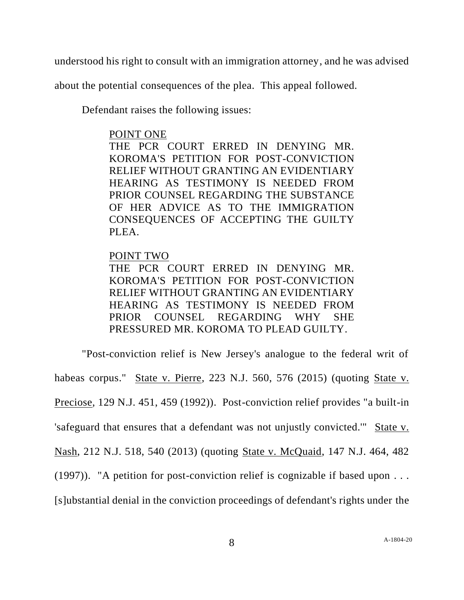understood his right to consult with an immigration attorney, and he was advised

about the potential consequences of the plea. This appeal followed.

Defendant raises the following issues:

## POINT ONE

THE PCR COURT ERRED IN DENYING MR. KOROMA'S PETITION FOR POST-CONVICTION RELIEF WITHOUT GRANTING AN EVIDENTIARY HEARING AS TESTIMONY IS NEEDED FROM PRIOR COUNSEL REGARDING THE SUBSTANCE OF HER ADVICE AS TO THE IMMIGRATION CONSEQUENCES OF ACCEPTING THE GUILTY PLEA.

## POINT TWO

THE PCR COURT ERRED IN DENYING MR. KOROMA'S PETITION FOR POST-CONVICTION RELIEF WITHOUT GRANTING AN EVIDENTIARY HEARING AS TESTIMONY IS NEEDED FROM PRIOR COUNSEL REGARDING WHY SHE PRESSURED MR. KOROMA TO PLEAD GUILTY.

"Post-conviction relief is New Jersey's analogue to the federal writ of habeas corpus." State v. Pierre, 223 N.J. 560, 576 (2015) (quoting State v. Preciose, 129 N.J. 451, 459 (1992)). Post-conviction relief provides "a built-in 'safeguard that ensures that a defendant was not unjustly convicted.'" State v. Nash, 212 N.J. 518, 540 (2013) (quoting State v. McQuaid, 147 N.J. 464, 482 (1997)). "A petition for post-conviction relief is cognizable if based upon . . . [s]ubstantial denial in the conviction proceedings of defendant's rights under the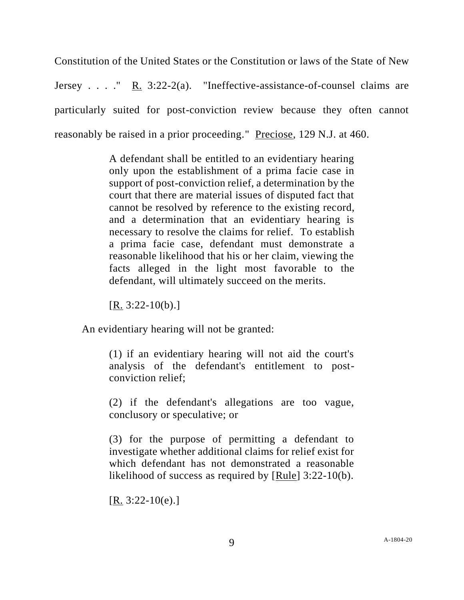Constitution of the United States or the Constitution or laws of the State of New Jersey . . . ." R. 3:22-2(a). "Ineffective-assistance-of-counsel claims are particularly suited for post-conviction review because they often cannot reasonably be raised in a prior proceeding." Preciose, 129 N.J. at 460.

> A defendant shall be entitled to an evidentiary hearing only upon the establishment of a prima facie case in support of post-conviction relief, a determination by the court that there are material issues of disputed fact that cannot be resolved by reference to the existing record, and a determination that an evidentiary hearing is necessary to resolve the claims for relief. To establish a prima facie case, defendant must demonstrate a reasonable likelihood that his or her claim, viewing the facts alleged in the light most favorable to the defendant, will ultimately succeed on the merits.

 $[R. 3:22-10(b).]$ 

An evidentiary hearing will not be granted:

(1) if an evidentiary hearing will not aid the court's analysis of the defendant's entitlement to postconviction relief;

(2) if the defendant's allegations are too vague, conclusory or speculative; or

(3) for the purpose of permitting a defendant to investigate whether additional claims for relief exist for which defendant has not demonstrated a reasonable likelihood of success as required by [Rule] 3:22-10(b).

 $[R. 3:22-10(e).]$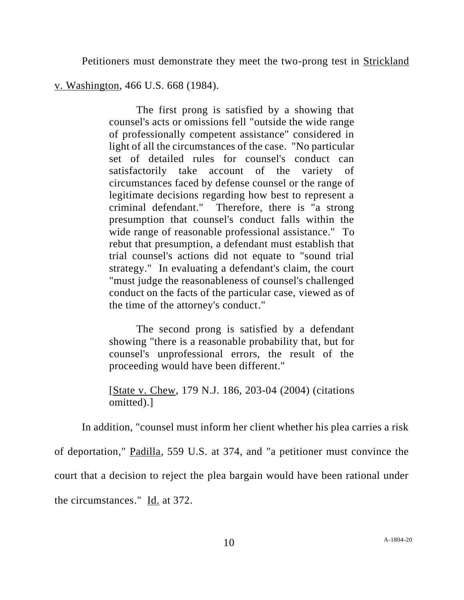Petitioners must demonstrate they meet the two-prong test in Strickland

v. Washington, 466 U.S. 668 (1984).

The first prong is satisfied by a showing that counsel's acts or omissions fell "outside the wide range of professionally competent assistance" considered in light of all the circumstances of the case. "No particular set of detailed rules for counsel's conduct can satisfactorily take account of the variety of circumstances faced by defense counsel or the range of legitimate decisions regarding how best to represent a criminal defendant." Therefore, there is "a strong presumption that counsel's conduct falls within the wide range of reasonable professional assistance." To rebut that presumption, a defendant must establish that trial counsel's actions did not equate to "sound trial strategy." In evaluating a defendant's claim, the court "must judge the reasonableness of counsel's challenged conduct on the facts of the particular case, viewed as of the time of the attorney's conduct."

The second prong is satisfied by a defendant showing "there is a reasonable probability that, but for counsel's unprofessional errors, the result of the proceeding would have been different."

[State v. Chew, 179 N.J. 186, 203-04 (2004) (citations omitted).]

In addition, "counsel must inform her client whether his plea carries a risk of deportation," Padilla, 559 U.S. at 374, and "a petitioner must convince the court that a decision to reject the plea bargain would have been rational under the circumstances." Id. at 372.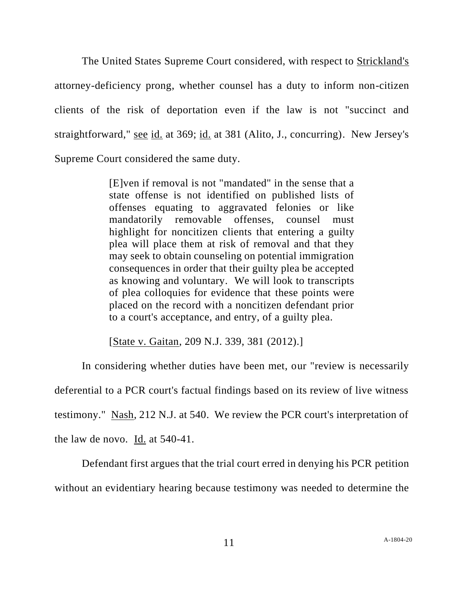The United States Supreme Court considered, with respect to Strickland's attorney-deficiency prong, whether counsel has a duty to inform non-citizen clients of the risk of deportation even if the law is not "succinct and straightforward," see id. at 369; id. at 381 (Alito, J., concurring). New Jersey's Supreme Court considered the same duty.

> [E]ven if removal is not "mandated" in the sense that a state offense is not identified on published lists of offenses equating to aggravated felonies or like mandatorily removable offenses, counsel must highlight for noncitizen clients that entering a guilty plea will place them at risk of removal and that they may seek to obtain counseling on potential immigration consequences in order that their guilty plea be accepted as knowing and voluntary. We will look to transcripts of plea colloquies for evidence that these points were placed on the record with a noncitizen defendant prior to a court's acceptance, and entry, of a guilty plea.

[State v. Gaitan, 209 N.J. 339, 381 (2012).]

In considering whether duties have been met, our "review is necessarily deferential to a PCR court's factual findings based on its review of live witness testimony." Nash, 212 N.J. at 540. We review the PCR court's interpretation of the law de novo. Id. at 540-41.

Defendant first argues that the trial court erred in denying his PCR petition without an evidentiary hearing because testimony was needed to determine the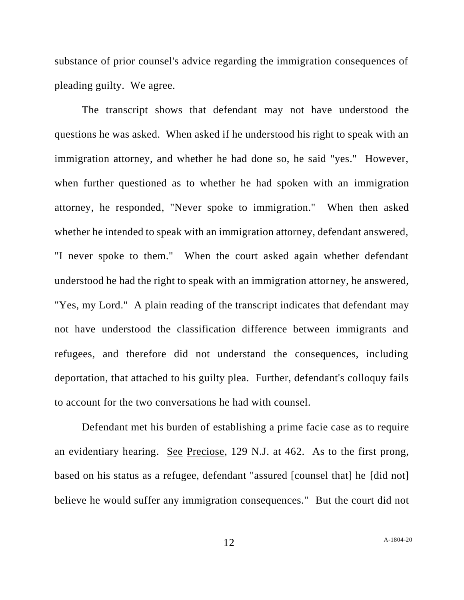substance of prior counsel's advice regarding the immigration consequences of pleading guilty. We agree.

The transcript shows that defendant may not have understood the questions he was asked. When asked if he understood his right to speak with an immigration attorney, and whether he had done so, he said "yes." However, when further questioned as to whether he had spoken with an immigration attorney, he responded, "Never spoke to immigration." When then asked whether he intended to speak with an immigration attorney, defendant answered, "I never spoke to them." When the court asked again whether defendant understood he had the right to speak with an immigration attorney, he answered, "Yes, my Lord." A plain reading of the transcript indicates that defendant may not have understood the classification difference between immigrants and refugees, and therefore did not understand the consequences, including deportation, that attached to his guilty plea. Further, defendant's colloquy fails to account for the two conversations he had with counsel.

Defendant met his burden of establishing a prime facie case as to require an evidentiary hearing. See Preciose, 129 N.J. at 462. As to the first prong, based on his status as a refugee, defendant "assured [counsel that] he [did not] believe he would suffer any immigration consequences." But the court did not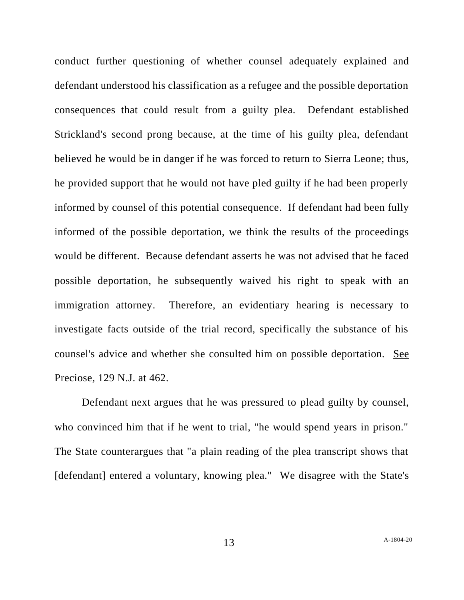conduct further questioning of whether counsel adequately explained and defendant understood his classification as a refugee and the possible deportation consequences that could result from a guilty plea. Defendant established Strickland's second prong because, at the time of his guilty plea, defendant believed he would be in danger if he was forced to return to Sierra Leone; thus, he provided support that he would not have pled guilty if he had been properly informed by counsel of this potential consequence. If defendant had been fully informed of the possible deportation, we think the results of the proceedings would be different. Because defendant asserts he was not advised that he faced possible deportation, he subsequently waived his right to speak with an immigration attorney. Therefore, an evidentiary hearing is necessary to investigate facts outside of the trial record, specifically the substance of his counsel's advice and whether she consulted him on possible deportation. See Preciose, 129 N.J. at 462.

Defendant next argues that he was pressured to plead guilty by counsel, who convinced him that if he went to trial, "he would spend years in prison." The State counterargues that "a plain reading of the plea transcript shows that [defendant] entered a voluntary, knowing plea." We disagree with the State's